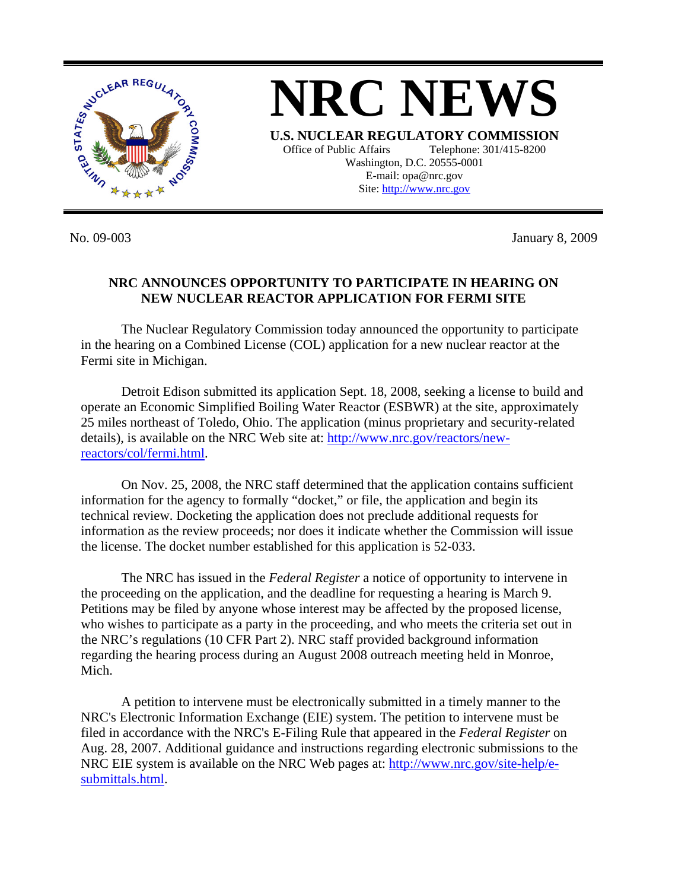

**NRC NEWS U.S. NUCLEAR REGULATORY COMMISSION** Office of Public Affairs Telephone: 301/415-8200 Washington, D.C. 20555-0001 E-mail: opa@nrc.gov Site: http://www.nrc.gov

No. 09-003 January 8, 2009

## **NRC ANNOUNCES OPPORTUNITY TO PARTICIPATE IN HEARING ON NEW NUCLEAR REACTOR APPLICATION FOR FERMI SITE**

 The Nuclear Regulatory Commission today announced the opportunity to participate in the hearing on a Combined License (COL) application for a new nuclear reactor at the Fermi site in Michigan.

Detroit Edison submitted its application Sept. 18, 2008, seeking a license to build and operate an Economic Simplified Boiling Water Reactor (ESBWR) at the site, approximately 25 miles northeast of Toledo, Ohio. The application (minus proprietary and security-related details), is available on the NRC Web site at: [http://www.nrc.gov/reactors/new](http://www.nrc.gov/reactors/new-reactors/col/fermi.html)[reactors/col/fermi.html](http://www.nrc.gov/reactors/new-reactors/col/fermi.html).

 On Nov. 25, 2008, the NRC staff determined that the application contains sufficient information for the agency to formally "docket," or file, the application and begin its technical review. Docketing the application does not preclude additional requests for information as the review proceeds; nor does it indicate whether the Commission will issue the license. The docket number established for this application is 52-033.

 The NRC has issued in the *Federal Register* a notice of opportunity to intervene in the proceeding on the application, and the deadline for requesting a hearing is March 9. Petitions may be filed by anyone whose interest may be affected by the proposed license, who wishes to participate as a party in the proceeding, and who meets the criteria set out in the NRC's regulations (10 CFR Part 2). NRC staff provided background information regarding the hearing process during an August 2008 outreach meeting held in Monroe, Mich.

 A petition to intervene must be electronically submitted in a timely manner to the NRC's Electronic Information Exchange (EIE) system. The petition to intervene must be filed in accordance with the NRC's E-Filing Rule that appeared in the *Federal Register* on Aug. 28, 2007. Additional guidance and instructions regarding electronic submissions to the NRC EIE system is available on the NRC Web pages at: [http://www.nrc.gov/site-help/e](http://www.nrc.gov/site-help/e-submittals.html)[submittals.html](http://www.nrc.gov/site-help/e-submittals.html).